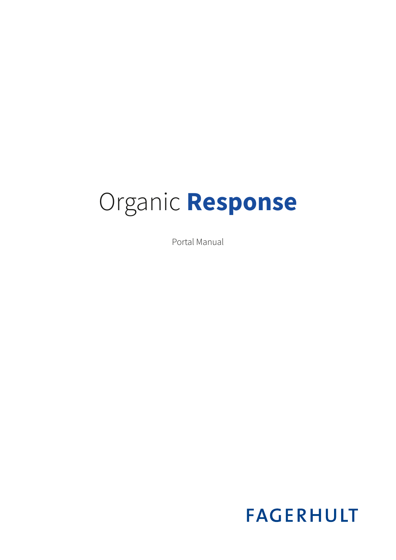# Organic **Response**

Portal Manual

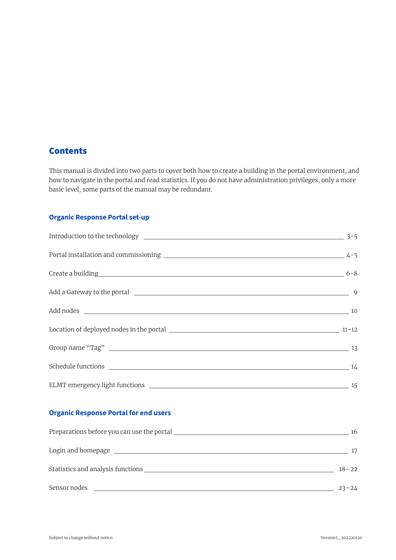#### **Contents**

This manual is divided into two parts to cover both how to create a building in the portal environment, and how to navigate in the portal and read statistics. If you do not have administration privileges, only a more basic level, some parts of the manual may be redundant.

#### **Organic Response Portal set-up**

| Create a building 6-8 |  |
|-----------------------|--|
|                       |  |
|                       |  |
|                       |  |
|                       |  |
|                       |  |
|                       |  |

#### **Organic Response Portal for end users**

| Preparations before you can use the portal property of the state of the portal property of the state of the state of the state of the state of the state of the state of the state of the state of the state of the state of t | 16        |
|--------------------------------------------------------------------------------------------------------------------------------------------------------------------------------------------------------------------------------|-----------|
|                                                                                                                                                                                                                                | 17        |
| Statistics and analysis functions                                                                                                                                                                                              | $18 - 22$ |
| Sensor nodes                                                                                                                                                                                                                   | $23 - 24$ |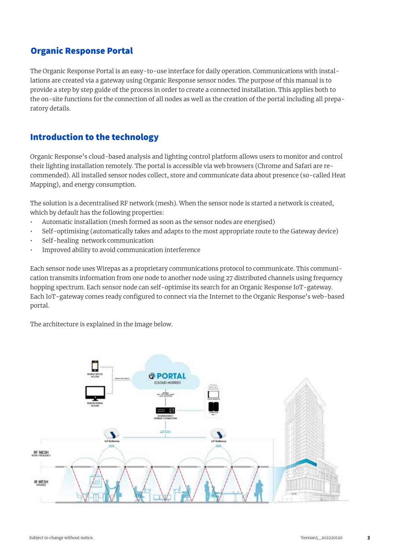#### Organic Response Portal

The Organic Response Portal is an easy-to-use interface for daily operation. Communications with installations are created via a gateway using Organic Response sensor nodes. The purpose of this manual is to provide a step by step guide of the process in order to create a connected installation. This applies both to the on-site functions for the connection of all nodes as well as the creation of the portal including all preparatory details.

## Introduction to the technology

Organic Response's cloud-based analysis and lighting control platform allows users to monitor and control their lighting installation remotely. The portal is accessible via web browsers (Chrome and Safari are recommended). All installed sensor nodes collect, store and communicate data about presence (so-called Heat Mapping), and energy consumption.

The solution is a decentralised RF network (mesh). When the sensor node is started a network is created, which by default has the following properties:

- Automatic installation (mesh formed as soon as the sensor nodes are energised)
- Self-optimising (automatically takes and adapts to the most appropriate route to the Gateway device)
- Self-healing network communication
- Improved ability to avoid communication interference

Each sensor node uses Wirepas as a proprietary communications protocol to communicate. This communication transmits information from one node to another node using 27 distributed channels using frequency hopping spectrum. Each sensor node can self-optimise its search for an Organic Response IoT-gateway. Each IoT-gateway comes ready configured to connect via the Internet to the Organic Response's web-based portal.

The architecture is explained in the image below.

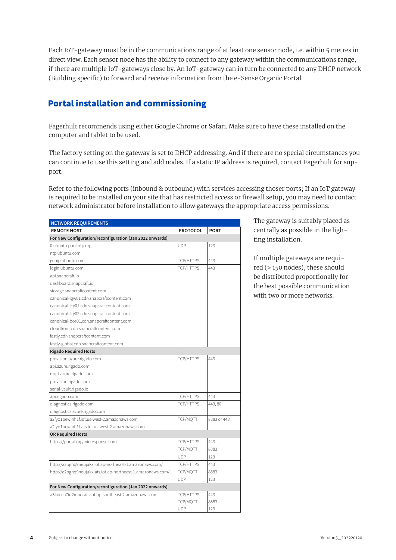Each IoT-gateway must be in the communications range of at least one sensor node, i.e. within 5 metres in direct view. Each sensor node has the ability to connect to any gateway within the communications range, if there are multiple IoT-gateways close by. An IoT-gateway can in turn be connected to any DHCP network (Building specific) to forward and receive information from the e‑Sense Organic Portal.

## Portal installation and commissioning

Fagerhult recommends using either Google Chrome or Safari. Make sure to have these installed on the computer and tablet to be used.

The factory setting on the gateway is set to DHCP addressing. And if there are no special circumstances you can continue to use this setting and add nodes. If a static IP address is required, contact Fagerhult for support.

Refer to the following ports (inbound & outbound) with services accessing thoser ports; If an IoT gateway is required to be installed on your site that has restricted access or firewall setup, you may need to contact network administrator before installation to allow gateways the appropriate access permissions.

| <b>NETWORK REQUIREMENTS</b>                                 |                  |             |
|-------------------------------------------------------------|------------------|-------------|
| <b>REMOTE HOST</b>                                          | <b>PROTOCOL</b>  | <b>PORT</b> |
| For New Configuration/reconfiguration (Jan 2022 onwards)    |                  |             |
| 0.ubuntu.pool.ntp.org                                       | <b>UDP</b>       | 123         |
| ntp.ubuntu.com                                              |                  |             |
| geoip.ubuntu.com                                            | TCP/HTTPS        | 443         |
| login.ubuntu.com                                            | TCP/HTTPS        | 443         |
| api.snapcraft.io                                            |                  |             |
| dashboard.snapcraft.io                                      |                  |             |
| storage.snapcraftcontent.com                                |                  |             |
| canonical-lgw01.cdn.snapcraftcontent.com                    |                  |             |
| canonical-lcy01.cdn.snapcraftcontent.com                    |                  |             |
| canonical-lcy02.cdn.snapcraftcontent.com                    |                  |             |
| canonical-bos01.cdn.snapcraftcontent.com                    |                  |             |
| cloudfront.cdn.snapcraftcontent.com                         |                  |             |
| fastly.cdn.snapcraftcontent.com                             |                  |             |
| fastly-global.cdn.snapcraftcontent.com                      |                  |             |
| <b>Rigado Required Hosts</b>                                |                  |             |
| provision.azure.rigado.com                                  | TCP/HTTPS        | 443         |
| api.azure.rigado.com                                        |                  |             |
| mqtt.azure.rigado.com                                       |                  |             |
| provision.rigado.com                                        |                  |             |
| serial-vault.rigado.io                                      |                  |             |
| api.rigado.com                                              | TCP/HTTPS        | 443         |
| diagnostics.rigado.com                                      | <b>TCP/HTTPS</b> | 443,80      |
| diagnostics.azure.rigado.com                                |                  |             |
| a2fyo1pewinh1f.iot.us-west-2.amazonaws.com                  | TCP/MOTT         | 8883 or 443 |
| a2fyo1pewinh1f-ats.iot.us-west-2.amazonaws.com              |                  |             |
| <b>OR Required Hosts</b>                                    |                  |             |
| https://portal.organicresponse.com                          | TCP/HTTPS        | 443         |
|                                                             | TCP/MQTT         | 8883        |
|                                                             | <b>UDP</b>       | 123         |
| http://a2bghq9neujukx.iot.ap-northeast-1.amazonaws.com/     | TCP/HTTPS        | 443         |
| http://a2bghq9neujukx-ats.iot.ap-northeast-1.amazonaws.com/ | TCP/MOTT         | 8883        |
|                                                             | <b>UDP</b>       | 123         |
| For New Configuration/reconfiguration (Jan 2022 onwards)    |                  |             |
| a34occh7iu2muo-ats.iot.ap-southeast-2.amazonaws.com         | TCP/HTTPS        | 443         |
|                                                             | TCP/MQTT         | 8883        |
|                                                             | <b>UDP</b>       | 123         |

The gateway is suitably placed as centrally as possible in the lighting installation.

If multiple gateways are required (> 150 nodes), these should be distributed proportionally for the best possible communication with two or more networks.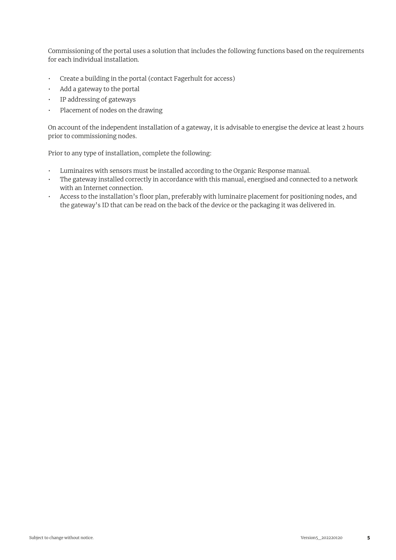Commissioning of the portal uses a solution that includes the following functions based on the requirements for each individual installation.

- Create a building in the portal (contact Fagerhult for access)
- Add a gateway to the portal
- IP addressing of gateways
- Placement of nodes on the drawing

On account of the independent installation of a gateway, it is advisable to energise the device at least 2 hours prior to commissioning nodes.

Prior to any type of installation, complete the following:

- Luminaires with sensors must be installed according to the Organic Response manual.
- The gateway installed correctly in accordance with this manual, energised and connected to a network with an Internet connection.
- Access to the installation's floor plan, preferably with luminaire placement for positioning nodes, and the gateway's ID that can be read on the back of the device or the packaging it was delivered in.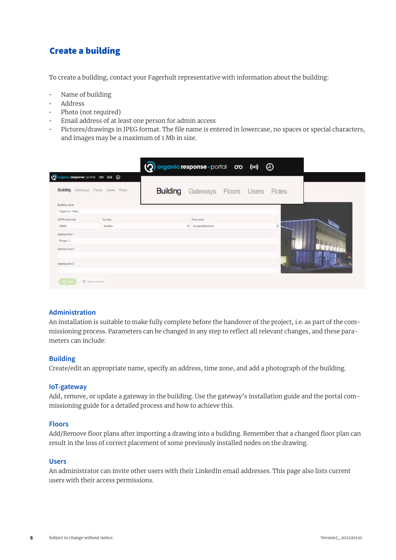## Create a building

To create a building, contact your Fagerhult representative with information about the building:

- Name of building
- Address
- Photo (not required)
- Email address of at least one person for admin access
- Pictures/drawings in JPEG format. The file name is entered in lowercase, no spaces or special characters, and images may be a maximum of 1 Mb in size.

| Q<br>gamicresponse portol are 640 @<br>Building Galways Foors Uses Roles<br><b>Building</b> Gateways Floors Users Roles<br>Building name<br>Fegerhut + Hacs<br>P.P.Postal code<br>County.<br>Tirm street<br>1 Europa Stackharm<br><b>SOUND</b><br>Eveber:<br>Addition firm 1<br>Aulgert 1<br>Administra 2<br><b>BRAIN CORP.</b><br>Adorpia line 3 |  | (?) organic response · portal oro ((o) 4 |  |  |  |
|---------------------------------------------------------------------------------------------------------------------------------------------------------------------------------------------------------------------------------------------------------------------------------------------------------------------------------------------------|--|------------------------------------------|--|--|--|
|                                                                                                                                                                                                                                                                                                                                                   |  |                                          |  |  |  |
|                                                                                                                                                                                                                                                                                                                                                   |  |                                          |  |  |  |
|                                                                                                                                                                                                                                                                                                                                                   |  |                                          |  |  |  |
|                                                                                                                                                                                                                                                                                                                                                   |  |                                          |  |  |  |
|                                                                                                                                                                                                                                                                                                                                                   |  |                                          |  |  |  |
|                                                                                                                                                                                                                                                                                                                                                   |  |                                          |  |  |  |
|                                                                                                                                                                                                                                                                                                                                                   |  |                                          |  |  |  |
|                                                                                                                                                                                                                                                                                                                                                   |  |                                          |  |  |  |
|                                                                                                                                                                                                                                                                                                                                                   |  |                                          |  |  |  |
|                                                                                                                                                                                                                                                                                                                                                   |  |                                          |  |  |  |
|                                                                                                                                                                                                                                                                                                                                                   |  |                                          |  |  |  |
| D. Fasal changes                                                                                                                                                                                                                                                                                                                                  |  |                                          |  |  |  |

#### **Administration**

An installation is suitable to make fully complete before the handover of the project, i.e. as part of the commissioning process. Parameters can be changed in any step to reflect all relevant changes, and these parameters can include:

#### **Building**

Create/edit an appropriate name, specify an address, time zone, and add a photograph of the building.

#### **IoT-gateway**

Add, remove, or update a gateway in the building. Use the gateway's installation guide and the portal commissioning guide for a detailed process and how to achieve this.

#### **Floors**

Add/Remove floor plans after importing a drawing into a building. Remember that a changed floor plan can result in the loss of correct placement of some previously installed nodes on the drawing.

#### **Users**

An administrator can invite other users with their LinkedIn email addresses. This page also lists current users with their access permissions.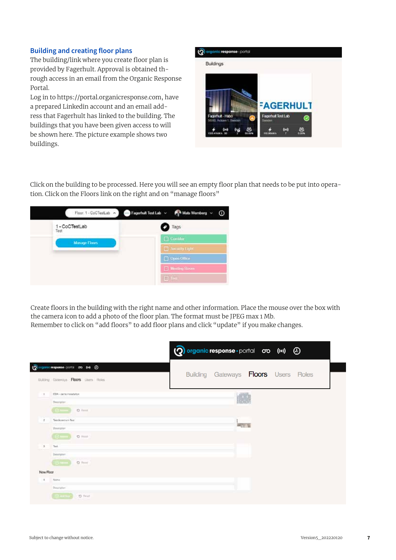#### **Building and creating floor plans**

The building/link where you create floor plan is provided by Fagerhult. Approval is obtained through access in an email from the Organic Response Portal.

Log in to https://portal.organicresponse.com, have a prepared Linkedin account and an email address that Fagerhult has linked to the building. The buildings that you have been given access to will be shown here. The picture example shows two buildings.

| <b>FAGERHULT</b><br><b>Fagetfult Test Lab</b><br>Fagerhult Habo<br>56080. Acligen 1, Sweden<br><b>Index</b> | <b>Buildings</b> |  |
|-------------------------------------------------------------------------------------------------------------|------------------|--|
|                                                                                                             |                  |  |
|                                                                                                             |                  |  |
|                                                                                                             |                  |  |

Click on the building to be processed. Here you will see an empty floor plan that needs to be put into operation. Click on the Floors link on the right and on "manage floors"



Create floors in the building with the right name and other information. Place the mouse over the box with the camera icon to add a photo of the floor plan. The format must be JPEG max 1 Mb. Remember to click on "add floors" to add floor plans and click "update" if you make changes.

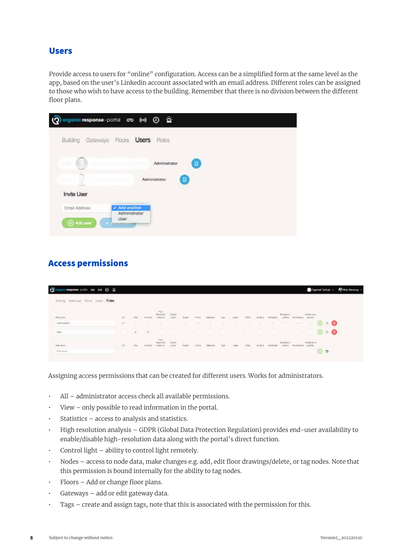#### Users

Provide access to users for "online" configuration. Access can be a simplified form at the same level as the app, based on the user's Linkedin account associated with an email address. Different roles can be assigned to those who wish to have access to the building. Remember that there is no division between the different floor plans.

| organic response portal oro (w) 4       |                                                                              |                              |             |  |
|-----------------------------------------|------------------------------------------------------------------------------|------------------------------|-------------|--|
| Building Gateways                       | <b>Users</b><br>Floors                                                       | <b>Roles</b>                 |             |  |
| The Contractor<br>71980                 | Dean Campbell-Smith                                                          | Administrator                | $\boxtimes$ |  |
| Daniel Unoso<br>40273<br><b>South A</b> |                                                                              | $\boxtimes$<br>Administrator |             |  |
| <b>Invite User</b>                      |                                                                              |                              |             |  |
| Email Address<br><b>(4)</b> Add user    | $\checkmark$ Add another<br>Administrator<br>User:<br><b>Testing Artists</b> |                              |             |  |
|                                         |                                                                              |                              |             |  |

## Access permissions

| $\mathbf{c}$<br>мировие-ролог от 6-4 @ 25                                                                                                                                                              |           |   |                                               |                         |                |    |                      |                   |                  |                   |      |                 |        |                             |             |                                          |      |              |  |
|--------------------------------------------------------------------------------------------------------------------------------------------------------------------------------------------------------|-----------|---|-----------------------------------------------|-------------------------|----------------|----|----------------------|-------------------|------------------|-------------------|------|-----------------|--------|-----------------------------|-------------|------------------------------------------|------|--------------|--|
| The second company of the company of the company of the company of the company of the company of<br>Bulting Gattower, Pictors Usare Roles.<br>STATISTICS AND THE REPORT OF THE REPORT OF THE REPORT OF |           |   |                                               |                         |                |    |                      |                   |                  |                   |      |                 |        |                             |             |                                          |      |              |  |
| tim (a)                                                                                                                                                                                                |           |   |                                               | <b>STATISTICS</b><br>mp |                |    |                      |                   |                  | 4757              |      |                 |        | <b>Drawing</b>              | Martialta L | <b>Gracieria</b><br>10001                |      |              |  |
| Administrator<br><b>Electricia</b>                                                                                                                                                                     | n.        |   | <b>SET</b>                                    | $\sim$                  | $\sim$         | ×. | r sa<br><b>ANGER</b> | <b>START</b><br>× | <b>Call</b>      | <b>The State</b>  | $-1$ | $\sim$          | $\sim$ | mar.                        | $\sim$      | $\sim$                                   |      | $\circ$      |  |
| the.                                                                                                                                                                                                   |           | ್ | $\overline{\phantom{a}}$<br><b>STATISTICS</b> |                         |                |    |                      |                   |                  |                   |      |                 |        |                             |             |                                          | COD- | $D$ $\Theta$ |  |
| <b>Barnets</b>                                                                                                                                                                                         | <b>Di</b> |   |                                               | may.                    | <b>Service</b> |    | AMOUNT STREET        |                   |                  | <b>STATISTICS</b> |      | <b>ALCOHOL:</b> |        | <b>ATENNI</b><br>Literpress |             | <b>STORAGE</b><br>Mercurian<br>Jollares. |      |              |  |
| Titan-sacros                                                                                                                                                                                           |           |   |                                               |                         |                |    |                      | $\mathbf{I}$      | <b>TELESCOPE</b> |                   |      | -17             | a po   |                             |             |                                          |      | $\circ$      |  |

Assigning access permissions that can be created for different users. Works for administrators.

- All administrator access check all available permissions.
- View only possible to read information in the portal.
- Statistics access to analysis and statistics.
- High resolution analysis GDPR (Global Data Protection Regulation) provides end-user availability to enable/disable high-resolution data along with the portal's direct function.
- Control light ability to control light remotely.
- Nodes access to node data, make changes e.g. add, edit floor drawings/delete, or tag nodes. Note that this permission is bound internally for the ability to tag nodes.
- Floors Add or change floor plans.
- Gateways add or edit gateway data.
- Tags create and assign tags, note that this is associated with the permission for this.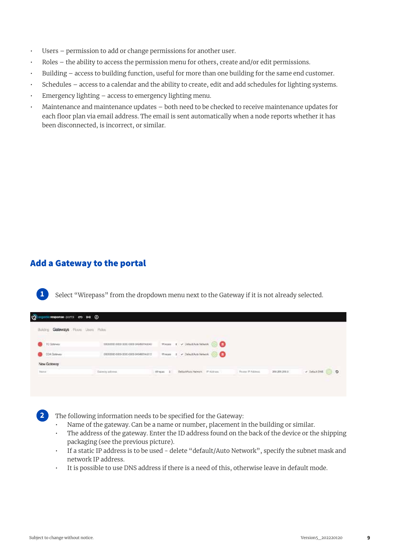- Users permission to add or change permissions for another user.
- Roles the ability to access the permission menu for others, create and/or edit permissions.
- Building access to building function, useful for more than one building for the same end customer.
- Schedules access to a calendar and the ability to create, edit and add schedules for lighting systems.
- Emergency lighting  $-$  access to emergency lighting menu.
- Maintenance and maintenance updates both need to be checked to receive maintenance updates for each floor plan via email address. The email is sent automatically when a node reports whether it has been disconnected, is incorrect, or similar.

#### Add a Gateway to the portal

**1**

**2**

Select "Wirepass" from the dropdown menu next to the Gateway if it is not already selected.

| Gateways Floors Does Fiches<br>Building                                                     |                                                                                                                                                         |        |                                                                                                                                                                                                                                                                                                                |            |                     |               |                           |
|---------------------------------------------------------------------------------------------|---------------------------------------------------------------------------------------------------------------------------------------------------------|--------|----------------------------------------------------------------------------------------------------------------------------------------------------------------------------------------------------------------------------------------------------------------------------------------------------------------|------------|---------------------|---------------|---------------------------|
| TC Galeway<br>m                                                                             | 00000000 0000 0000 0000 046493145040 -<br>the contraction of the contract of                                                                            | Weeper | $I \neq 0$ ela.4/kib.10kom $\bigcirc$ 0                                                                                                                                                                                                                                                                        |            |                     |               |                           |
| WHERE THE CASE OF PERSON RESIDENCE.<br>COA Dateway<br><b>The Committee of the Committee</b> | and a contract of the property states and the state states and<br>00000000-0005-0000-0000-04549254c01E<br>Consideration of the constant of the constant |        | <b>MITARATURE CONTRACTOR AND A</b><br>Wrases I v Delautifulo Network (C) (1)<br>and the first continue of the state of the state of the state of the state of the state of the state of the state of the state of the state of the state of the state of the state of the state of the state of the state of t |            |                     |               |                           |
| New Gateway                                                                                 |                                                                                                                                                         |        |                                                                                                                                                                                                                                                                                                                |            |                     |               |                           |
| <b>Bana</b>                                                                                 | Outway admired."                                                                                                                                        | Wingst | DeliantRuto Nelwork                                                                                                                                                                                                                                                                                            | IP Address | <b>Roza PAdress</b> | 256 259 259 0 | - Default Dids<br>$\circ$ |

The following information needs to be specified for the Gateway:

- Name of the gateway. Can be a name or number, placement in the building or similar.
- The address of the gateway. Enter the ID address found on the back of the device or the shipping packaging (see the previous picture).
- If a static IP address is to be used delete "default/Auto Network", specify the subnet mask and network IP address.
- It is possible to use DNS address if there is a need of this, otherwise leave in default mode.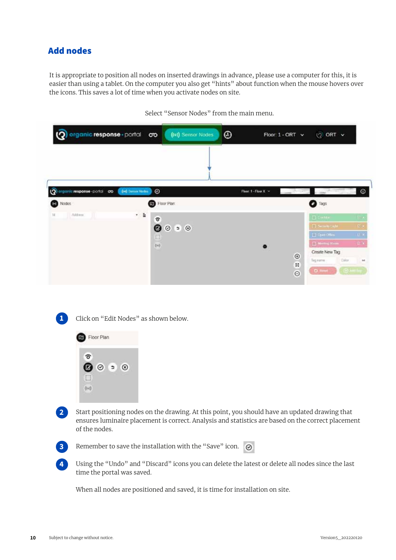## Add nodes

It is appropriate to position all nodes on inserted drawings in advance, please use a computer for this, it is easier than using a tablet. On the computer you also get "hints" about function when the mouse hovers over the icons. This saves a lot of time when you activate nodes on site.



Select "Sensor Nodes" from the main menu.



Click on "Edit Nodes" as shown below.

Start positioning nodes on the drawing. At this point, you should have an updated drawing that ensures luminaire placement is correct. Analysis and statistics are based on the correct placement of the nodes. **2**



**1**

**4**

Remember to save the installation with the "Save" icon.  $\bigcirc$ 

Using the "Undo" and "Discard" icons you can delete the latest or delete all nodes since the last time the portal was saved.

When all nodes are positioned and saved, it is time for installation on site.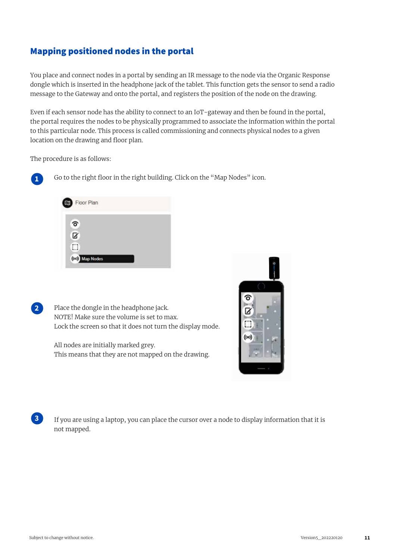## Mapping positioned nodes in the portal

You place and connect nodes in a portal by sending an IR message to the node via the Organic Response dongle which is inserted in the headphone jack of the tablet. This function gets the sensor to send a radio message to the Gateway and onto the portal, and registers the position of the node on the drawing.

Even if each sensor node has the ability to connect to an IoT-gateway and then be found in the portal, the portal requires the nodes to be physically programmed to associate the information within the portal to this particular node. This process is called commissioning and connects physical nodes to a given location on the drawing and floor plan.

The procedure is as follows:



**2**

**3**

Go to the right floor in the right building. Click on the "Map Nodes" icon.



Place the dongle in the headphone jack. NOTE! Make sure the volume is set to max. Lock the screen so that it does not turn the display mode.

All nodes are initially marked grey. This means that they are not mapped on the drawing.



 If you are using a laptop, you can place the cursor over a node to display information that it is not mapped.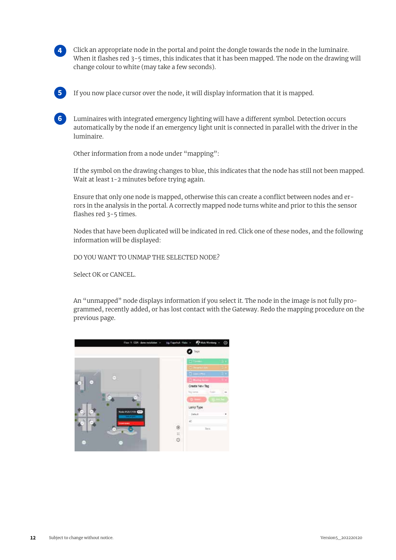

Click an appropriate node in the portal and point the dongle towards the node in the luminaire. When it flashes red 3-5 times, this indicates that it has been mapped. The node on the drawing will change colour to white (may take a few seconds).



If you now place cursor over the node, it will display information that it is mapped.

Luminaires with integrated emergency lighting will have a different symbol. Detection occurs automatically by the node if an emergency light unit is connected in parallel with the driver in the luminaire. **6**

Other information from a node under "mapping":

If the symbol on the drawing changes to blue, this indicates that the node has still not been mapped. Wait at least 1-2 minutes before trying again.

Ensure that only one node is mapped, otherwise this can create a conflict between nodes and errors in the analysis in the portal. A correctly mapped node turns white and prior to this the sensor flashes red 3-5 times.

Nodes that have been duplicated will be indicated in red. Click one of these nodes, and the following information will be displayed:

DO YOU WANT TO UNMAP THE SELECTED NODE?

Select OK or CANCEL.

An "unmapped" node displays information if you select it. The node in the image is not fully programmed, recently added, or has lost contact with the Gateway. Redo the mapping procedure on the previous page.

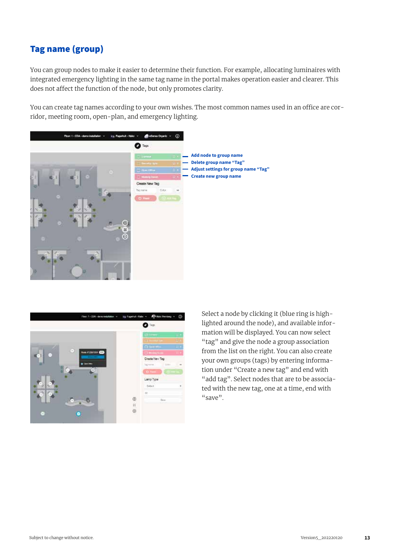## Tag name (group)

You can group nodes to make it easier to determine their function. For example, allocating luminaires with integrated emergency lighting in the same tag name in the portal makes operation easier and clearer. This does not affect the function of the node, but only promotes clarity.

You can create tag names according to your own wishes. The most common names used in an office are corridor, meeting room, open-plan, and emergency lighting.





Select a node by clicking it (blue ring is highlighted around the node), and available information will be displayed. You can now select "tag" and give the node a group association from the list on the right. You can also create your own groups (tags) by entering information under "Create a new tag" and end with "add tag". Select nodes that are to be associated with the new tag, one at a time, end with "save".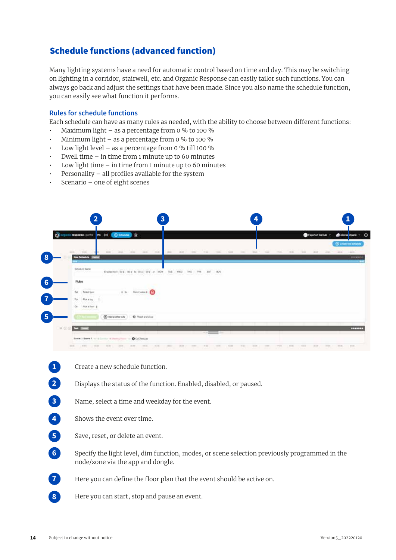## Schedule functions (advanced function)

Many lighting systems have a need for automatic control based on time and day. This may be switching on lighting in a corridor, stairwell, etc. and Organic Response can easily tailor such functions. You can always go back and adjust the settings that have been made. Since you also name the schedule function, you can easily see what function it performs.

#### **Rules for schedule functions**

Each schedule can have as many rules as needed, with the ability to choose between different functions:

- Maximum light as a percentage from 0 % to 100 %
- Minimum light as a percentage from 0 % to 100 %
- Low light level as a percentage from 0 % till 100 %
- Dwell time in time from 1 minute up to 60 minutes
- $\cdot$  Low light time in time from 1 minute up to 60 minutes
- Personality all profiles available for the system
- Scenario one of eight scenes

|            |                                                                                                                                               |                    |                                                                                                              | 3                            |                                  |                                                                   |                                          |       |                              |             |                                                                                                                                                                                                                                                              |                  |                                 |                                 |                                                    |
|------------|-----------------------------------------------------------------------------------------------------------------------------------------------|--------------------|--------------------------------------------------------------------------------------------------------------|------------------------------|----------------------------------|-------------------------------------------------------------------|------------------------------------------|-------|------------------------------|-------------|--------------------------------------------------------------------------------------------------------------------------------------------------------------------------------------------------------------------------------------------------------------|------------------|---------------------------------|---------------------------------|----------------------------------------------------|
| 19         | guilinesponse porto: 00 lei (@ Brenae) @                                                                                                      |                    |                                                                                                              |                              |                                  |                                                                   |                                          |       |                              |             |                                                                                                                                                                                                                                                              |                  | <b>Call Fagerfull Test Latt</b> |                                 | ന<br><b>Bo</b> alleres Drawin                      |
|            | and Teleco<br>New Schoolule                                                                                                                   |                    | 222 223 230 230 230                                                                                          |                              |                                  | and was the the the cost of the the the that the the same are the |                                          |       |                              |             |                                                                                                                                                                                                                                                              |                  |                                 |                                 | <b>(b)</b> Create rare actualized<br><b>Doctor</b> |
|            | <b>Greature Were</b><br><b>START CONTROL</b><br><b>Flukes</b>                                                                                 |                    | To a control of the component of<br>presenten och mit er mit och er mit i 1987, und i 2007, sett i 2007, anv |                              | <b>MATE ORIGINAL REPORTATION</b> | The Services                                                      |                                          |       |                              |             |                                                                                                                                                                                                                                                              |                  |                                 |                                 |                                                    |
|            | Solent turn<br>Plot sites 1<br>For:<br>2006 BM 6005<br>Or Paratise 2<br>Concert and Concert                                                   |                    | 4 b. Southern B.                                                                                             |                              |                                  |                                                                   |                                          |       |                              |             |                                                                                                                                                                                                                                                              |                  |                                 |                                 |                                                    |
| 5<br>H G G | <b>Building</b>                                                                                                                               | @ Add another rule | <sup>2</sup> Pesat and close                                                                                 |                              |                                  |                                                                   |                                          |       |                              |             |                                                                                                                                                                                                                                                              |                  |                                 |                                 | -------                                            |
|            | Reese to Bonne F, but in East the of Sharing Force: You @ CoCTestLid-<br><b>Constitution of the Constitution</b><br><b>Service Controller</b> | NORTH CONTROL      | <b>Control</b><br>THE R.<br><b>CONTRACTOR</b> SEARCH                                                         | <b>THE R</b><br><b>THEFT</b> | <b>WARRANT COMMAND</b>           | $\frac{1}{2}$                                                     | TELEVISION C<br>the property of the con- | TOTAL | <b>TERRIT</b><br><b>TENT</b> | <b>TERR</b> | <b>Carried Co.</b><br>$-10$<br>distance and the second company of the second company of the second company of the second company of the second company of the second company of the second company of the second company of the second company of the second | <b>Committee</b> |                                 | <b>BUT IT IT IT IS NOT THE </b> |                                                    |

**1 2 3**

**5**

**6**

**7**

**8**

Create a new schedule function.

Displays the status of the function. Enabled, disabled, or paused.

- Name, select a time and weekday for the event.
- Shows the event over time. **4**
	- Save, reset, or delete an event.
	- Specify the light level, dim function, modes, or scene selection previously programmed in the node/zone via the app and dongle.

Here you can define the floor plan that the event should be active on.

Here you can start, stop and pause an event.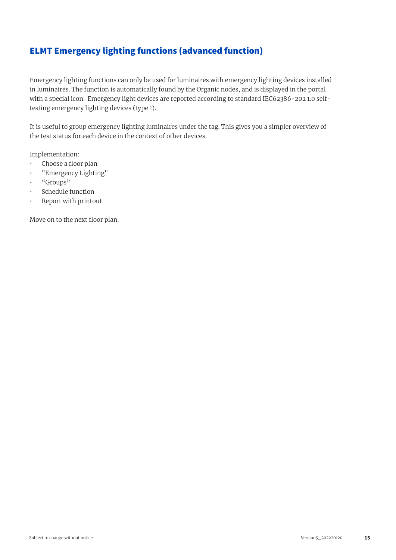## ELMT Emergency lighting functions (advanced function)

Emergency lighting functions can only be used for luminaires with emergency lighting devices installed in luminaires. The function is automatically found by the Organic nodes, and is displayed in the portal with a special icon. Emergency light devices are reported according to standard IEC62386-202 1.0 selftesting emergency lighting devices (type 1).

It is useful to group emergency lighting luminaires under the tag. This gives you a simpler overview of the test status for each device in the context of other devices.

Implementation:

- Choose a floor plan
- "Emergency Lighting"
- "Groups"
- Schedule function
- Report with printout

Move on to the next floor plan.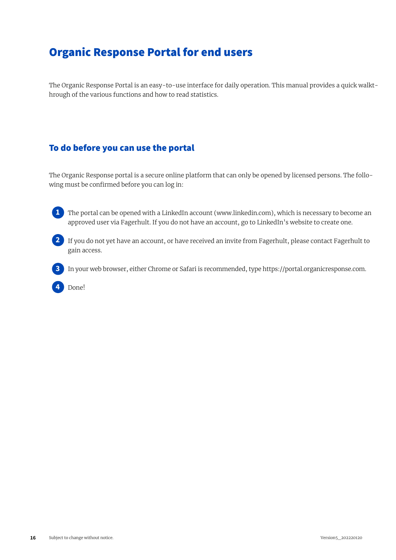## Organic Response Portal for end users

The Organic Response Portal is an easy-to-use interface for daily operation. This manual provides a quick walkthrough of the various functions and how to read statistics.

## To do before you can use the portal

The Organic Response portal is a secure online platform that can only be opened by licensed persons. The following must be confirmed before you can log in:

1 The portal can be opened with a LinkedIn account (www.linkedin.com), which is necessary to become an approved user via Fagerhult. If you do not have an account, go to LinkedIn's website to create one.



If you do not yet have an account, or have received an invite from Fagerhult, please contact Fagerhult to **2** gain access.



In your web browser, either Chrome or Safari is recommended, type https://portal.organicresponse.com.

Done! **4**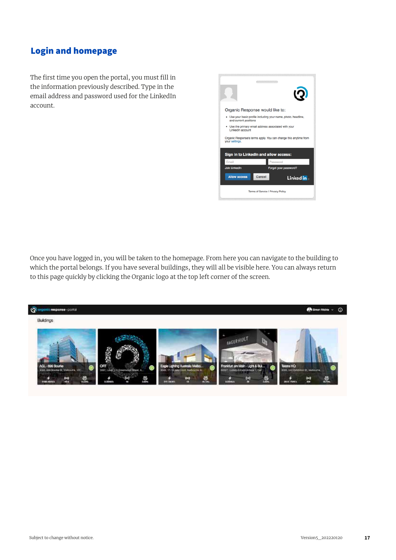## Login and homepage

The first time you open the portal, you must fill in the information previously described. Type in the email address and password used for the LinkedIn account.

|                       | Organic Response would like to:                                                                           |
|-----------------------|-----------------------------------------------------------------------------------------------------------|
| and current positions | • Use your basic profile including your name, photo, headline,                                            |
| LinkedIn account      | • Use the primary email address associated with your                                                      |
| your settings.        | Organic Response's terms apply. You can change this anytime from<br>Sign in to LinkedIn and allow access: |
| Email                 | Password                                                                                                  |
| <b>Join LinkedIn</b>  | Forgot your password?                                                                                     |
| <b>Allow access</b>   | Cancel<br>Linked in                                                                                       |
|                       | Terms of Service I Privacy Policy                                                                         |

Once you have logged in, you will be taken to the homepage. From here you can navigate to the building to which the portal belongs. If you have several buildings, they will all be visible here. You can always return to this page quickly by clicking the Organic logo at the top left corner of the screen.

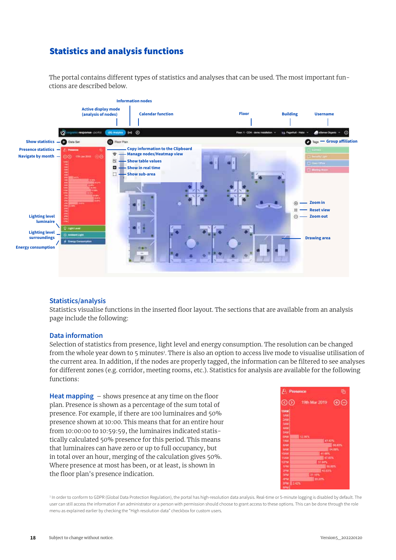## Statistics and analysis functions

The portal contains different types of statistics and analyses that can be used. The most important functions are described below.



#### **Statistics/analysis**

Statistics visualise functions in the inserted floor layout. The sections that are available from an analysis page include the following:

#### **Data information**

Selection of statistics from presence, light level and energy consumption. The resolution can be changed from the whole year down to 5 minutes<sup>1</sup>. There is also an option to access live mode to visualise utilisation of the current area. In addition, if the nodes are properly tagged, the information can be filtered to see analyses for different zones (e.g. corridor, meeting rooms, etc.). Statistics for analysis are available for the following functions:

**Heat mapping** – shows presence at any time on the floor plan. Presence is shown as a percentage of the sum total of presence. For example, if there are 100 luminaires and 50% presence shown at 10:00. This means that for an entire hour from 10:00:00 to 10:59:59, the luminaires indicated statistically calculated 50% presence for this period. This means that luminaires can have zero or up to full occupancy, but in total over an hour, merging of the calculation gives 50%. Where presence at most has been, or at least, is shown in the floor plan's presence indication.



<sup>1</sup> In order to conform to GDPR (Global Data Protection Regulation), the portal has high-resolution data analysis. Real-time or 5-minute logging is disabled by default. The user can still access the information if an administrator or a person with permission should choose to grant access to these options. This can be done through the role menu as explained earlier by checking the "High resolution data" checkbox for custom users.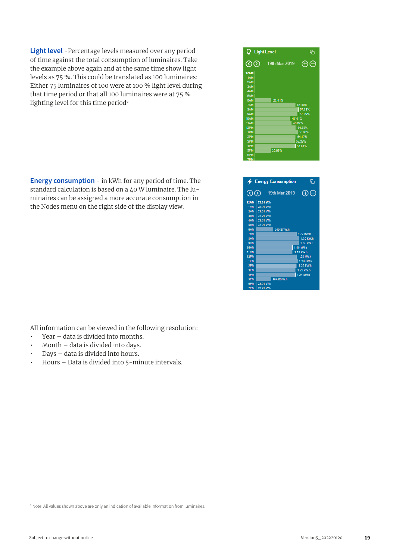**Light level** -Percentage levels measured over any period of time against the total consumption of luminaires. Take the example above again and at the same time show light levels as 75 %. This could be translated as 100 luminaires: Either 75 luminaires of 100 were at 100 % light level during that time period or that all 100 luminaires were at 75 % lighting level for this time period<sup>2.</sup>

**Energy consumption** - in kWh for any period of time. The standard calculation is based on a 40 W luminaire. The luminaires can be assigned a more accurate consumption in the Nodes menu on the right side of the display view.

All information can be viewed in the following resolution:

- Year data is divided into months.
- Month data is divided into days.
- Days data is divided into hours.
- Hours Data is divided into 5-minute intervals.





|              | $\bigstar$ Energy Consumption<br>দে |
|--------------|-------------------------------------|
| $\odot\odot$ | (F)<br>∈<br>19th Mar 2019           |
|              | 12AM 23.91 W.h                      |
| 1AM          | 23.91 Wh                            |
|              | 2AM 23.91 W.h                       |
|              | 3AM 23.91 W.h                       |
| 4AM          | 23.91 W.h                           |
| 5AM          | 23.91 W.h                           |
| <b>RAM</b>   | 549.87 W.h                          |
| 7AM          | 1.27 kW.h                           |
| 8AM          | 1.35 kW.h                           |
| <b>9AM</b>   | 1.35 kW.h                           |
| <b>10AM</b>  | 1.15 kW.h                           |
| <b>11AM</b>  | 1.16 kWh                            |
| 12PM         | 1.28 kW.h                           |
| 1PM          | 1.30 kW.h                           |
| 2PM          | 1.29 kW.h                           |
| 3PM          | 1.25 kW.h                           |
| 4PM          | 1.24 kW.h                           |
| 5PM          | 484.08 W.h                          |
| 6PM          | 23.91 W.h                           |
| <b>7DM</b>   | <b>22.04.MIN</b>                    |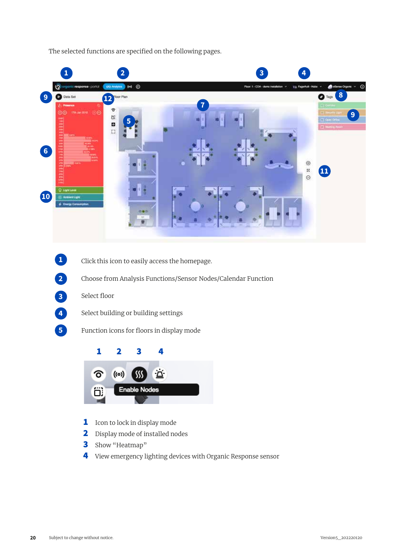The selected functions are specified on the following pages.



- Click this icon to easily access the homepage.  $\bullet$ 
	- Choose from Analysis Functions/Sensor Nodes/Calendar Function
- Select floor **3**
- **4**

**5**

**2**

- Select building or building settings
- Function icons for floors in display mode



- 1 Icon to lock in display mode
- 2 Display mode of installed nodes
- 3 Show "Heatmap"
- 4 View emergency lighting devices with Organic Response sensor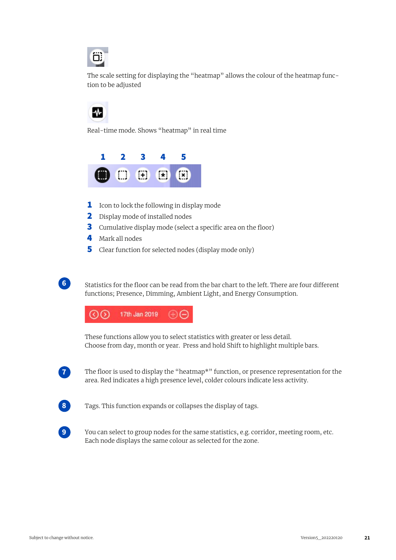

The scale setting for displaying the "heatmap" allows the colour of the heatmap function to be adjusted

Real-time mode. Shows "heatmap" in real time



- **1** Icon to lock the following in display mode
- 2 Display mode of installed nodes
- **3** Cumulative display mode (select a specific area on the floor)
- 4 Mark all nodes
- 5 Clear function for selected nodes (display mode only)



Statistics for the floor can be read from the bar chart to the left. There are four different functions; Presence, Dimming, Ambient Light, and Energy Consumption.



These functions allow you to select statistics with greater or less detail. Choose from day, month or year. Press and hold Shift to highlight multiple bars.



The floor is used to display the "heatmap\*" function, or presence representation for the area. Red indicates a high presence level, colder colours indicate less activity.



Tags. This function expands or collapses the display of tags.



You can select to group nodes for the same statistics, e.g. corridor, meeting room, etc. Each node displays the same colour as selected for the zone.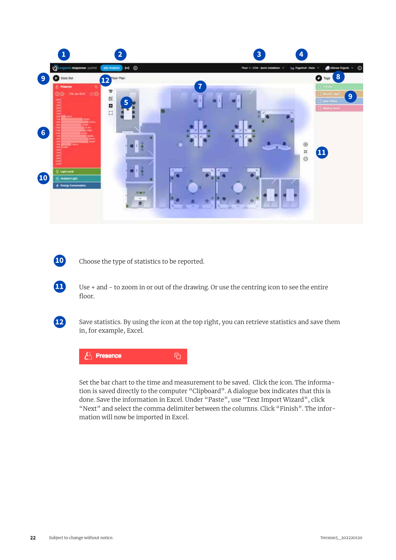

Choose the type of statistics to be reported.

Use + and - to zoom in or out of the drawing. Or use the centring icon to see the entire floor.



**10**

**11**

Save statistics. By using the icon at the top right, you can retrieve statistics and save them in, for example, Excel.



Set the bar chart to the time and measurement to be saved. Click the icon. The information is saved directly to the computer "Clipboard". A dialogue box indicates that this is done. Save the information in Excel. Under "Paste", use "Text Import Wizard", click "Next" and select the comma delimiter between the columns. Click "Finish". The information will now be imported in Excel.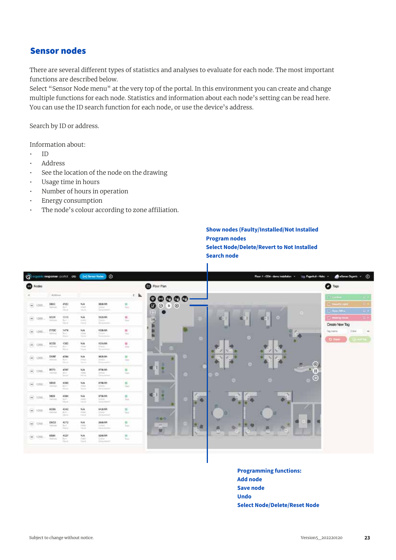#### Sensor nodes

There are several different types of statistics and analyses to evaluate for each node. The most important functions are described below.

Select "Sensor Node menu" at the very top of the portal. In this environment you can create and change multiple functions for each node. Statistics and information about each node's setting can be read here. You can use the ID search function for each node, or use the device's address.

Search by ID or address.

Information about:

- ID
- Address
- See the location of the node on the drawing
- Usage time in hours
- Number of hours in operation
- Energy consumption
- The node's colour according to zone affiliation.

**Show nodes (Faulty/Installed/Not Installed Program nodes Select Node/Delete/Revert to Not Installed Search node**



**Programming functions: Add node Save node Undo Select Node/Delete/Reset Node**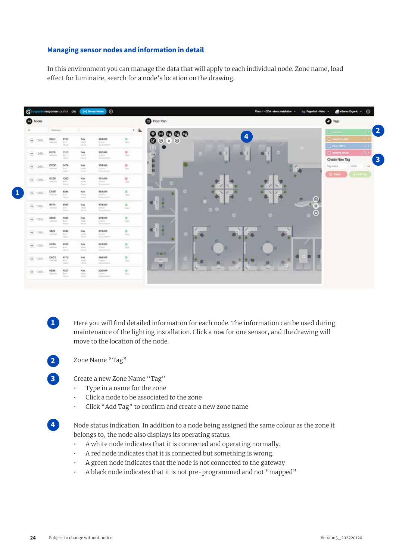#### **Managing sensor nodes and information in detail**

In this environment you can manage the data that will apply to each individual node. Zone name, load effect for luminaire, search for a node's location on the drawing.



**1**

Here you will find detailed information for each node. The information can be used during maintenance of the lighting installation. Click a row for one sensor, and the drawing will move to the location of the node.

**2**

**3**

Zone Name "Tag"

Create a new Zone Name "Tag"

- Type in a name for the zone
- Click a node to be associated to the zone
- Click "Add Tag" to confirm and create a new zone name

**4**

Node status indication. In addition to a node being assigned the same colour as the zone it belongs to, the node also displays its operating status.

- A white node indicates that it is connected and operating normally.
- A red node indicates that it is connected but something is wrong.
- A green node indicates that the node is not connected to the gateway
- A black node indicates that it is not pre-programmed and not "mapped"